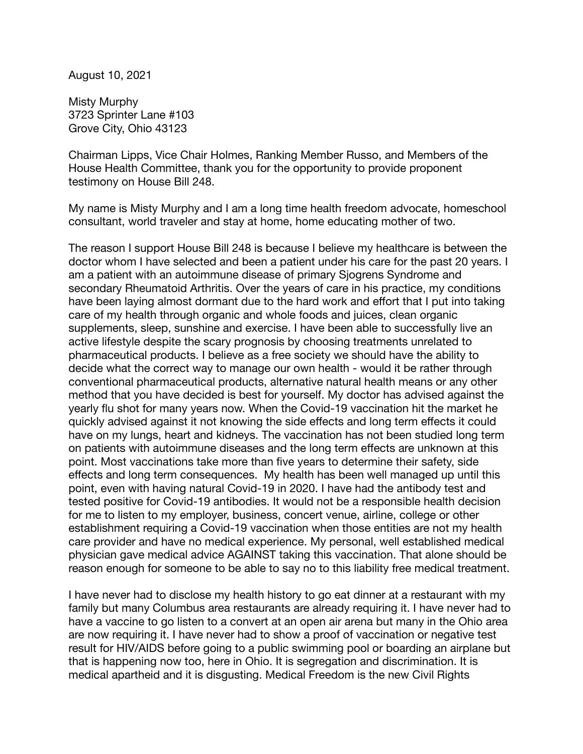August 10, 2021

Misty Murphy 3723 Sprinter Lane #103 Grove City, Ohio 43123

Chairman Lipps, Vice Chair Holmes, Ranking Member Russo, and Members of the House Health Committee, thank you for the opportunity to provide proponent testimony on House Bill 248.

My name is Misty Murphy and I am a long time health freedom advocate, homeschool consultant, world traveler and stay at home, home educating mother of two.

The reason I support House Bill 248 is because I believe my healthcare is between the doctor whom I have selected and been a patient under his care for the past 20 years. I am a patient with an autoimmune disease of primary Sjogrens Syndrome and secondary Rheumatoid Arthritis. Over the years of care in his practice, my conditions have been laying almost dormant due to the hard work and effort that I put into taking care of my health through organic and whole foods and juices, clean organic supplements, sleep, sunshine and exercise. I have been able to successfully live an active lifestyle despite the scary prognosis by choosing treatments unrelated to pharmaceutical products. I believe as a free society we should have the ability to decide what the correct way to manage our own health - would it be rather through conventional pharmaceutical products, alternative natural health means or any other method that you have decided is best for yourself. My doctor has advised against the yearly flu shot for many years now. When the Covid-19 vaccination hit the market he quickly advised against it not knowing the side effects and long term effects it could have on my lungs, heart and kidneys. The vaccination has not been studied long term on patients with autoimmune diseases and the long term effects are unknown at this point. Most vaccinations take more than five years to determine their safety, side effects and long term consequences. My health has been well managed up until this point, even with having natural Covid-19 in 2020. I have had the antibody test and tested positive for Covid-19 antibodies. It would not be a responsible health decision for me to listen to my employer, business, concert venue, airline, college or other establishment requiring a Covid-19 vaccination when those entities are not my health care provider and have no medical experience. My personal, well established medical physician gave medical advice AGAINST taking this vaccination. That alone should be reason enough for someone to be able to say no to this liability free medical treatment.

I have never had to disclose my health history to go eat dinner at a restaurant with my family but many Columbus area restaurants are already requiring it. I have never had to have a vaccine to go listen to a convert at an open air arena but many in the Ohio area are now requiring it. I have never had to show a proof of vaccination or negative test result for HIV/AIDS before going to a public swimming pool or boarding an airplane but that is happening now too, here in Ohio. It is segregation and discrimination. It is medical apartheid and it is disgusting. Medical Freedom is the new Civil Rights